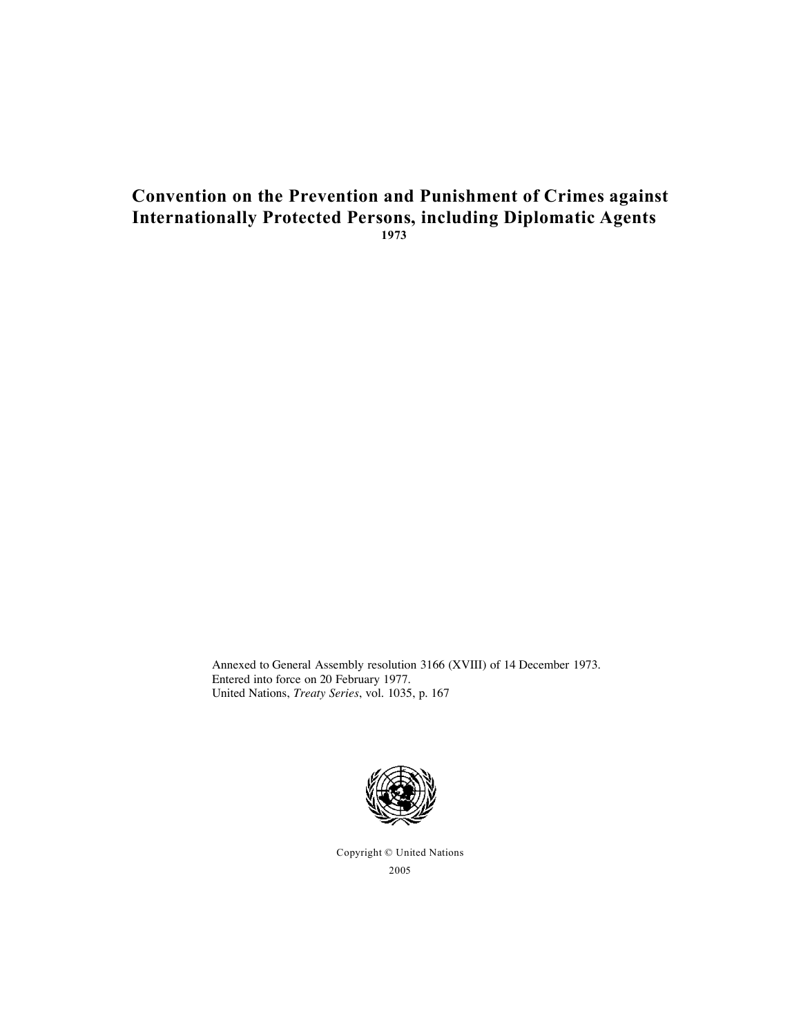# Convention on the Prevention and Punishment of Crimes against Internationally Protected Persons, including Diplomatic Agents 1973

Annexed to General Assembly resolution 3166 (XVIII) of 14 December 1973. Entered into force on 20 February 1977. United Nations, *Treaty Series*, vol. 1035, p. 167



Copyright © United Nations 2005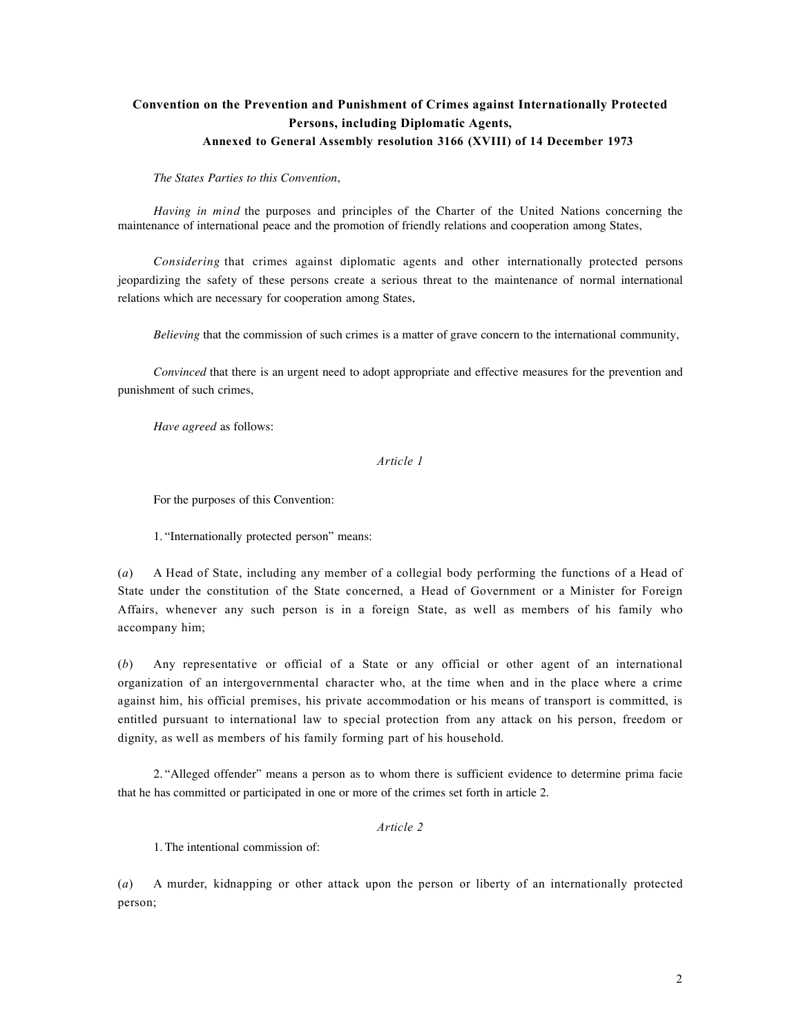# Convention on the Prevention and Punishment of Crimes against Internationally Protected Persons, including Diplomatic Agents, Annexed to General Assembly resolution 3166 (XVIII) of 14 December 1973

*The States Parties to this Convention*,

*Having in mind* the purposes and principles of the Charter of the United Nations concerning the maintenance of international peace and the promotion of friendly relations and cooperation among States,

*Considering* that crimes against diplomatic agents and other internationally protected persons jeopardizing the safety of these persons create a serious threat to the maintenance of normal international relations which are necessary for cooperation among States,

*Believing* that the commission of such crimes is a matter of grave concern to the international community,

*Convinced* that there is an urgent need to adopt appropriate and effective measures for the prevention and punishment of such crimes,

*Have agreed* as follows:

## *Article 1*

For the purposes of this Convention:

1. "Internationally protected person" means:

(*a*) A Head of State, including any member of a collegial body performing the functions of a Head of State under the constitution of the State concerned, a Head of Government or a Minister for Foreign Affairs, whenever any such person is in a foreign State, as well as members of his family who accompany him;

(*b*) Any representative or official of a State or any official or other agent of an international organization of an intergovernmental character who, at the time when and in the place where a crime against him, his official premises, his private accommodation or his means of transport is committed, is entitled pursuant to international law to special protection from any attack on his person, freedom or dignity, as well as members of his family forming part of his household.

2. "Alleged offender" means a person as to whom there is sufficient evidence to determine prima facie that he has committed or participated in one or more of the crimes set forth in article 2.

## *Article 2*

1. The intentional commission of:

(*a*) A murder, kidnapping or other attack upon the person or liberty of an internationally protected person;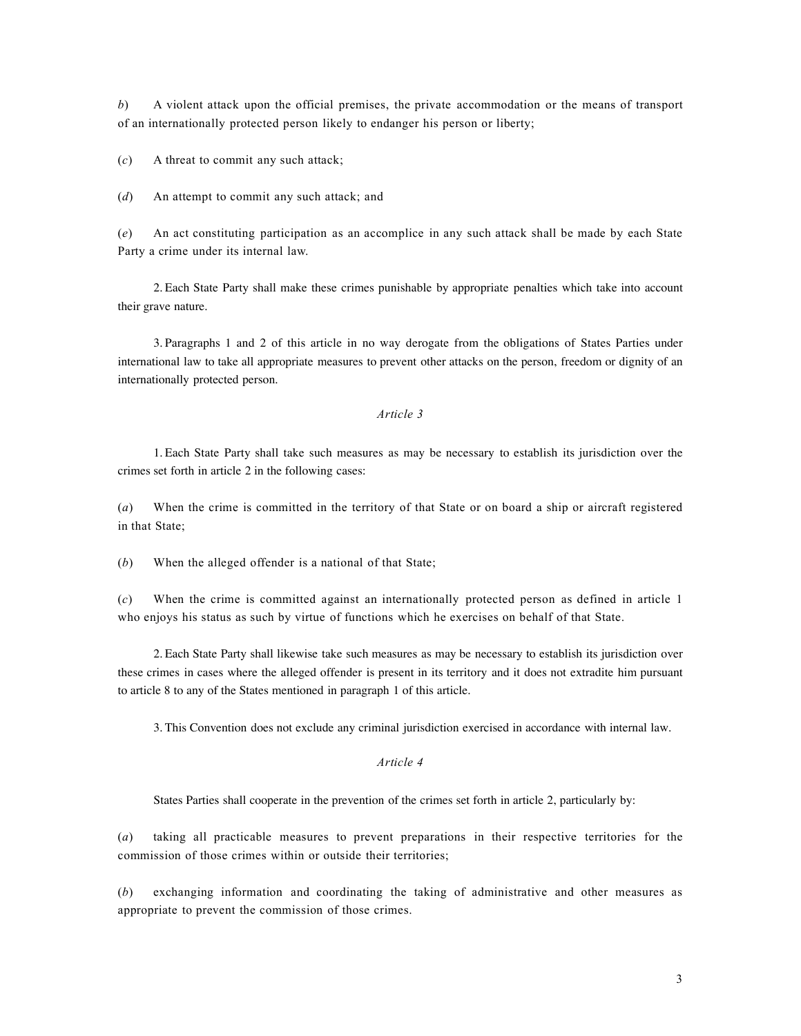*b*) A violent attack upon the official premises, the private accommodation or the means of transport of an internationally protected person likely to endanger his person or liberty;

(*c*) A threat to commit any such attack;

(*d*) An attempt to commit any such attack; and

(*e*) An act constituting participation as an accomplice in any such attack shall be made by each State Party a crime under its internal law.

2. Each State Party shall make these crimes punishable by appropriate penalties which take into account their grave nature.

3. Paragraphs 1 and 2 of this article in no way derogate from the obligations of States Parties under international law to take all appropriate measures to prevent other attacks on the person, freedom or dignity of an internationally protected person.

#### *Article 3*

1. Each State Party shall take such measures as may be necessary to establish its jurisdiction over the crimes set forth in article 2 in the following cases:

(*a*) When the crime is committed in the territory of that State or on board a ship or aircraft registered in that State;

(*b*) When the alleged offender is a national of that State;

(*c*) When the crime is committed against an internationally protected person as defined in article 1 who enjoys his status as such by virtue of functions which he exercises on behalf of that State.

2. Each State Party shall likewise take such measures as may be necessary to establish its jurisdiction over these crimes in cases where the alleged offender is present in its territory and it does not extradite him pursuant to article 8 to any of the States mentioned in paragraph 1 of this article.

3. This Convention does not exclude any criminal jurisdiction exercised in accordance with internal law.

#### *Article 4*

States Parties shall cooperate in the prevention of the crimes set forth in article 2, particularly by:

(*a*) taking all practicable measures to prevent preparations in their respective territories for the commission of those crimes within or outside their territories;

(*b*) exchanging information and coordinating the taking of administrative and other measures as appropriate to prevent the commission of those crimes.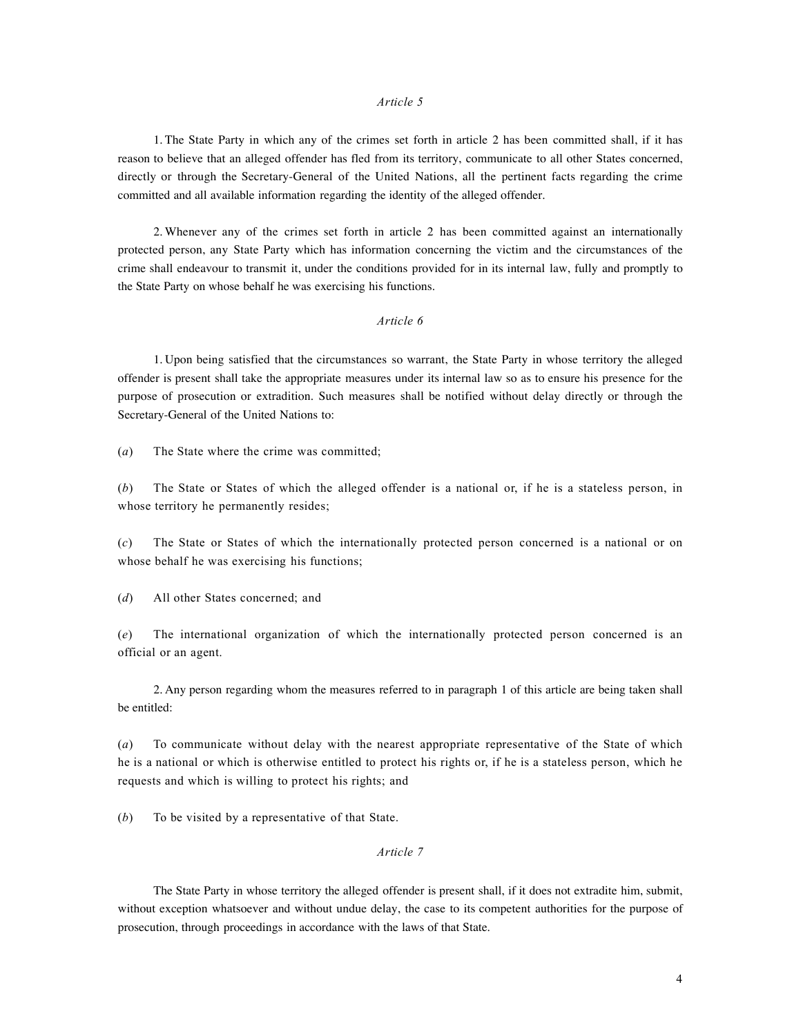1. The State Party in which any of the crimes set forth in article 2 has been committed shall, if it has reason to believe that an alleged offender has fled from its territory, communicate to all other States concerned, directly or through the Secretary-General of the United Nations, all the pertinent facts regarding the crime committed and all available information regarding the identity of the alleged offender.

2. Whenever any of the crimes set forth in article 2 has been committed against an internationally protected person, any State Party which has information concerning the victim and the circumstances of the crime shall endeavour to transmit it, under the conditions provided for in its internal law, fully and promptly to the State Party on whose behalf he was exercising his functions.

#### *Article 6*

1. Upon being satisfied that the circumstances so warrant, the State Party in whose territory the alleged offender is present shall take the appropriate measures under its internal law so as to ensure his presence for the purpose of prosecution or extradition. Such measures shall be notified without delay directly or through the Secretary-General of the United Nations to:

(*a*) The State where the crime was committed;

(*b*) The State or States of which the alleged offender is a national or, if he is a stateless person, in whose territory he permanently resides;

(*c*) The State or States of which the internationally protected person concerned is a national or on whose behalf he was exercising his functions;

(*d*) All other States concerned; and

(*e*) The international organization of which the internationally protected person concerned is an official or an agent.

2. Any person regarding whom the measures referred to in paragraph 1 of this article are being taken shall be entitled:

(*a*) To communicate without delay with the nearest appropriate representative of the State of which he is a national or which is otherwise entitled to protect his rights or, if he is a stateless person, which he requests and which is willing to protect his rights; and

(*b*) To be visited by a representative of that State.

#### *Article 7*

The State Party in whose territory the alleged offender is present shall, if it does not extradite him, submit, without exception whatsoever and without undue delay, the case to its competent authorities for the purpose of prosecution, through proceedings in accordance with the laws of that State.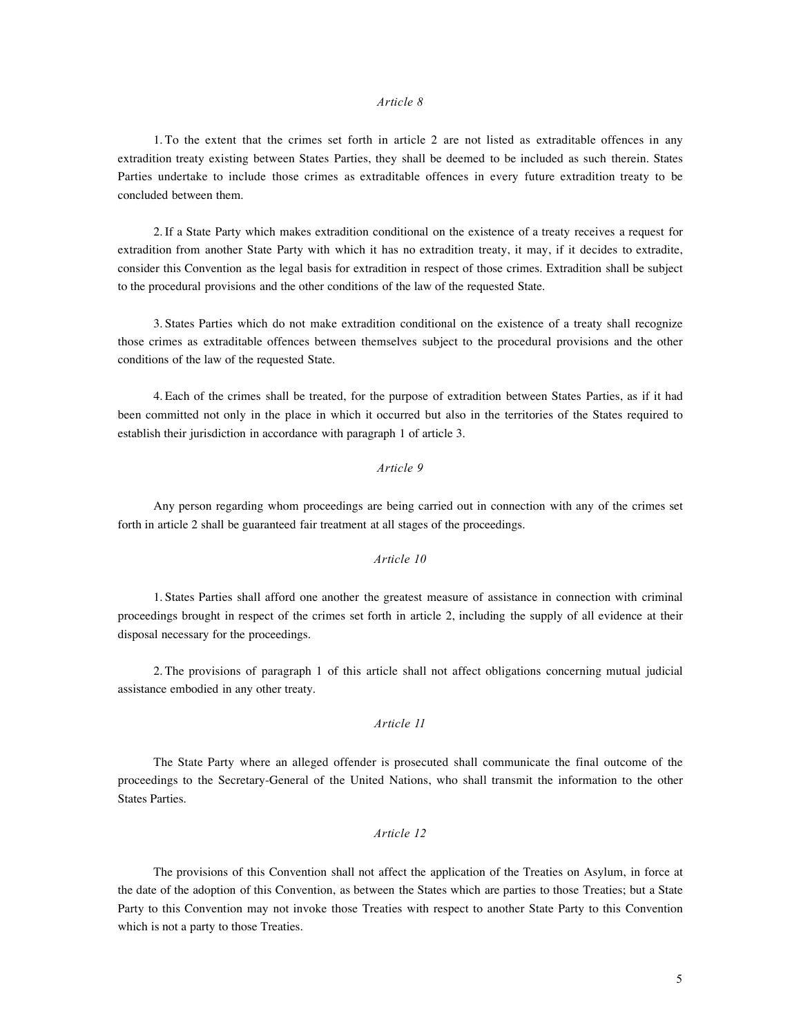1. To the extent that the crimes set forth in article 2 are not listed as extraditable offences in any extradition treaty existing between States Parties, they shall be deemed to be included as such therein. States Parties undertake to include those crimes as extraditable offences in every future extradition treaty to be concluded between them.

2. If a State Party which makes extradition conditional on the existence of a treaty receives a request for extradition from another State Party with which it has no extradition treaty, it may, if it decides to extradite, consider this Convention as the legal basis for extradition in respect of those crimes. Extradition shall be subject to the procedural provisions and the other conditions of the law of the requested State.

3. States Parties which do not make extradition conditional on the existence of a treaty shall recognize those crimes as extraditable offences between themselves subject to the procedural provisions and the other conditions of the law of the requested State.

4. Each of the crimes shall be treated, for the purpose of extradition between States Parties, as if it had been committed not only in the place in which it occurred but also in the territories of the States required to establish their jurisdiction in accordance with paragraph 1 of article 3.

# *Article 9*

Any person regarding whom proceedings are being carried out in connection with any of the crimes set forth in article 2 shall be guaranteed fair treatment at all stages of the proceedings.

### *Article 10*

1. States Parties shall afford one another the greatest measure of assistance in connection with criminal proceedings brought in respect of the crimes set forth in article 2, including the supply of all evidence at their disposal necessary for the proceedings.

2. The provisions of paragraph 1 of this article shall not affect obligations concerning mutual judicial assistance embodied in any other treaty.

## *Article 11*

The State Party where an alleged offender is prosecuted shall communicate the final outcome of the proceedings to the Secretary-General of the United Nations, who shall transmit the information to the other States Parties.

### *Article 12*

The provisions of this Convention shall not affect the application of the Treaties on Asylum, in force at the date of the adoption of this Convention, as between the States which are parties to those Treaties; but a State Party to this Convention may not invoke those Treaties with respect to another State Party to this Convention which is not a party to those Treaties.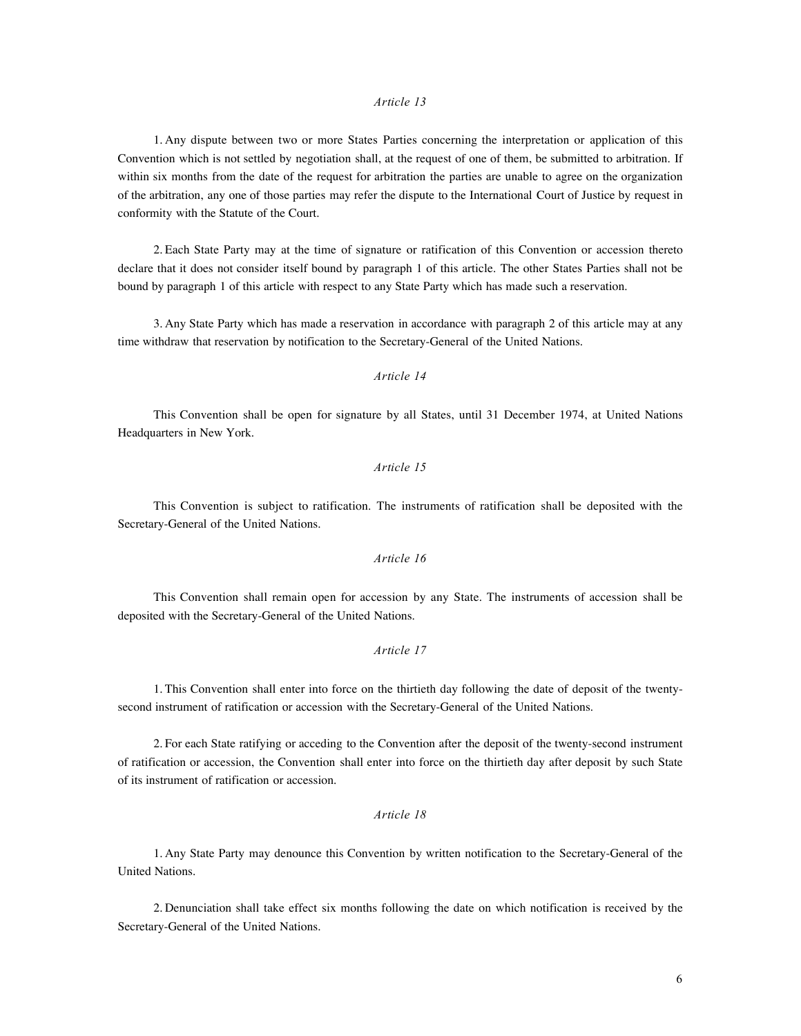1. Any dispute between two or more States Parties concerning the interpretation or application of this Convention which is not settled by negotiation shall, at the request of one of them, be submitted to arbitration. If within six months from the date of the request for arbitration the parties are unable to agree on the organization of the arbitration, any one of those parties may refer the dispute to the International Court of Justice by request in conformity with the Statute of the Court.

2. Each State Party may at the time of signature or ratification of this Convention or accession thereto declare that it does not consider itself bound by paragraph 1 of this article. The other States Parties shall not be bound by paragraph 1 of this article with respect to any State Party which has made such a reservation.

3. Any State Party which has made a reservation in accordance with paragraph 2 of this article may at any time withdraw that reservation by notification to the Secretary-General of the United Nations.

#### *Article 14*

This Convention shall be open for signature by all States, until 31 December 1974, at United Nations Headquarters in New York.

# *Article 15*

This Convention is subject to ratification. The instruments of ratification shall be deposited with the Secretary-General of the United Nations.

#### *Article 16*

This Convention shall remain open for accession by any State. The instruments of accession shall be deposited with the Secretary-General of the United Nations.

#### *Article 17*

1. This Convention shall enter into force on the thirtieth day following the date of deposit of the twentysecond instrument of ratification or accession with the Secretary-General of the United Nations.

2. For each State ratifying or acceding to the Convention after the deposit of the twenty-second instrument of ratification or accession, the Convention shall enter into force on the thirtieth day after deposit by such State of its instrument of ratification or accession.

#### *Article 18*

1. Any State Party may denounce this Convention by written notification to the Secretary-General of the United Nations.

2. Denunciation shall take effect six months following the date on which notification is received by the Secretary-General of the United Nations.